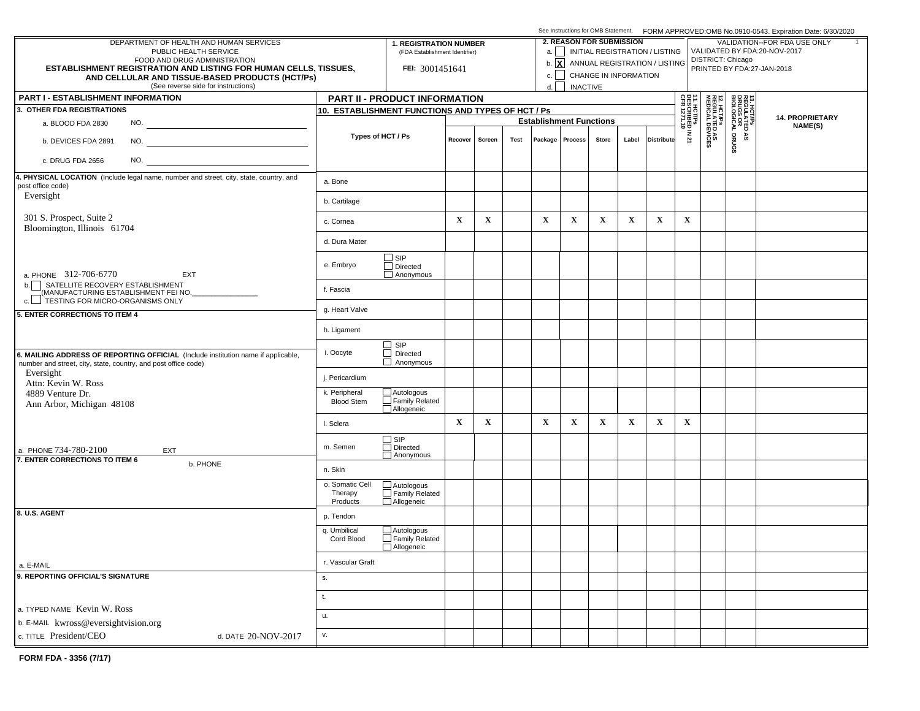|                                                                                                                                                     |                                        |                                                                 |             |                                |                                 |              | See Instructions for OMB Statement. FORM APPROVED:OMB No.0910-0543. Expiration Date: 6/30/2020 |                                                              |                                           |                                                       |                                                     |                                                        |             |         |  |  |  |
|-----------------------------------------------------------------------------------------------------------------------------------------------------|----------------------------------------|-----------------------------------------------------------------|-------------|--------------------------------|---------------------------------|--------------|------------------------------------------------------------------------------------------------|--------------------------------------------------------------|-------------------------------------------|-------------------------------------------------------|-----------------------------------------------------|--------------------------------------------------------|-------------|---------|--|--|--|
| DEPARTMENT OF HEALTH AND HUMAN SERVICES<br>PUBLIC HEALTH SERVICE                                                                                    |                                        | <b>1. REGISTRATION NUMBER</b><br>(FDA Establishment Identifier) |             |                                | <b>2. REASON FOR SUBMISSION</b> |              | a.     INITIAL REGISTRATION / LISTING                                                          | VALIDATION--FOR FDA USE ONLY<br>VALIDATED BY FDA:20-NOV-2017 |                                           |                                                       |                                                     |                                                        |             |         |  |  |  |
| FOOD AND DRUG ADMINISTRATION                                                                                                                        |                                        |                                                                 |             |                                |                                 |              |                                                                                                |                                                              |                                           | b. $\boxed{\mathbf{X}}$ ANNUAL REGISTRATION / LISTING | DISTRICT: Chicago                                   |                                                        |             |         |  |  |  |
| <b>ESTABLISHMENT REGISTRATION AND LISTING FOR HUMAN CELLS, TISSUES,</b><br>AND CELLULAR AND TISSUE-BASED PRODUCTS (HCT/Ps)                          |                                        | FEI: 3001451641                                                 |             |                                |                                 | c.           |                                                                                                |                                                              | CHANGE IN INFORMATION                     |                                                       | PRINTED BY FDA:27-JAN-2018                          |                                                        |             |         |  |  |  |
| (See reverse side for instructions)                                                                                                                 |                                        |                                                                 | d.          | <b>INACTIVE</b>                |                                 |              |                                                                                                |                                                              |                                           |                                                       |                                                     |                                                        |             |         |  |  |  |
| <b>PART I - ESTABLISHMENT INFORMATION</b>                                                                                                           |                                        | <b>PART II - PRODUCT INFORMATION</b>                            |             |                                |                                 |              |                                                                                                |                                                              |                                           |                                                       | 요즘 =                                                |                                                        |             |         |  |  |  |
| 3. OTHER FDA REGISTRATIONS                                                                                                                          |                                        | 10. ESTABLISHMENT FUNCTIONS AND TYPES OF HCT / Ps               |             | <b>Establishment Functions</b> |                                 |              |                                                                                                |                                                              | 1. HCT/Ps<br>ESCRIBED IN 21<br>FR 1271.10 |                                                       | 13. HCT/PS<br>REGULATED<br>DRUGS OR<br>BIOLOGICAL I | <b>14. PROPRIETARY</b>                                 |             |         |  |  |  |
| a. BLOOD FDA 2830<br>NO.                                                                                                                            |                                        |                                                                 |             |                                |                                 |              |                                                                                                |                                                              |                                           |                                                       |                                                     |                                                        |             | NAME(S) |  |  |  |
| b. DEVICES FDA 2891                                                                                                                                 |                                        | Types of HCT / Ps                                               | Recover     | Screen                         | Test                            |              | Package   Process                                                                              | <b>Store</b>                                                 | Label                                     | <b>Distribute</b>                                     |                                                     | <b>12. HCT/Ps<br/>REGULATED AS<br/>MEDICAL DEVICES</b> | DRUGS<br>٩S |         |  |  |  |
| NO.<br>c. DRUG FDA 2656                                                                                                                             |                                        |                                                                 |             |                                |                                 |              |                                                                                                |                                                              |                                           |                                                       |                                                     |                                                        |             |         |  |  |  |
| 4. PHYSICAL LOCATION (Include legal name, number and street, city, state, country, and<br>post office code)                                         | a. Bone                                |                                                                 |             |                                |                                 |              |                                                                                                |                                                              |                                           |                                                       |                                                     |                                                        |             |         |  |  |  |
| Eversight                                                                                                                                           | b. Cartilage                           |                                                                 |             |                                |                                 |              |                                                                                                |                                                              |                                           |                                                       |                                                     |                                                        |             |         |  |  |  |
| 301 S. Prospect, Suite 2<br>Bloomington, Illinois 61704                                                                                             | c. Cornea                              |                                                                 | $\mathbf X$ | $\mathbf X$                    |                                 | $\mathbf{X}$ | $\mathbf X$                                                                                    | $\mathbf X$                                                  | $\mathbf x$                               | $\mathbf x$                                           | $\mathbf X$                                         |                                                        |             |         |  |  |  |
|                                                                                                                                                     | d. Dura Mater                          |                                                                 |             |                                |                                 |              |                                                                                                |                                                              |                                           |                                                       |                                                     |                                                        |             |         |  |  |  |
| a. PHONE 312-706-6770<br><b>EXT</b>                                                                                                                 | e. Embryo                              | $\Box$ SIP<br>$\Box$ Directed<br>$\Box$ Anonymous               |             |                                |                                 |              |                                                                                                |                                                              |                                           |                                                       |                                                     |                                                        |             |         |  |  |  |
| SATELLITE RECOVERY ESTABLISHMENT<br>b.<br>(MANUFACTURING ESTABLISHMENT FEI NO.                                                                      | f. Fascia                              |                                                                 |             |                                |                                 |              |                                                                                                |                                                              |                                           |                                                       |                                                     |                                                        |             |         |  |  |  |
| c. FESTING FOR MICRO-ORGANISMS ONLY<br>5. ENTER CORRECTIONS TO ITEM 4                                                                               | g. Heart Valve                         |                                                                 |             |                                |                                 |              |                                                                                                |                                                              |                                           |                                                       |                                                     |                                                        |             |         |  |  |  |
|                                                                                                                                                     | h. Ligament                            |                                                                 |             |                                |                                 |              |                                                                                                |                                                              |                                           |                                                       |                                                     |                                                        |             |         |  |  |  |
| 6. MAILING ADDRESS OF REPORTING OFFICIAL (Include institution name if applicable,<br>number and street, city, state, country, and post office code) | i. Oocyte                              | $\Box$ SIP<br>$\Box$ Directed<br>$\Box$ Anonymous               |             |                                |                                 |              |                                                                                                |                                                              |                                           |                                                       |                                                     |                                                        |             |         |  |  |  |
| Eversight<br>Attn: Kevin W. Ross                                                                                                                    | j. Pericardium                         |                                                                 |             |                                |                                 |              |                                                                                                |                                                              |                                           |                                                       |                                                     |                                                        |             |         |  |  |  |
| 4889 Venture Dr.<br>Ann Arbor, Michigan 48108                                                                                                       | k. Peripheral<br><b>Blood Stem</b>     | $\Box$ Autologous<br>$\Box$ Family Related<br>Allogeneic        |             |                                |                                 |              |                                                                                                |                                                              |                                           |                                                       |                                                     |                                                        |             |         |  |  |  |
|                                                                                                                                                     | I. Sclera                              |                                                                 | $\mathbf X$ | $\mathbf X$                    |                                 | $\mathbf X$  | $\mathbf X$                                                                                    | $\mathbf X$                                                  | $\mathbf x$                               | $\mathbf X$                                           | $\mathbf X$                                         |                                                        |             |         |  |  |  |
| a. PHONE 734-780-2100<br>EXT<br>7. ENTER CORRECTIONS TO ITEM 6                                                                                      | m. Semen                               | □ SIP<br>□ Directed<br>Anonymous                                |             |                                |                                 |              |                                                                                                |                                                              |                                           |                                                       |                                                     |                                                        |             |         |  |  |  |
| b. PHONE                                                                                                                                            | n. Skin                                |                                                                 |             |                                |                                 |              |                                                                                                |                                                              |                                           |                                                       |                                                     |                                                        |             |         |  |  |  |
|                                                                                                                                                     | o. Somatic Cell<br>Therapy<br>Products | $\overline{\square}$ Autologous<br>Family Related<br>Allogeneic |             |                                |                                 |              |                                                                                                |                                                              |                                           |                                                       |                                                     |                                                        |             |         |  |  |  |
| 8. U.S. AGENT                                                                                                                                       | p. Tendon                              |                                                                 |             |                                |                                 |              |                                                                                                |                                                              |                                           |                                                       |                                                     |                                                        |             |         |  |  |  |
|                                                                                                                                                     | q. Umbilical<br>Cord Blood             | $\Box$ Autologous<br>$\Box$ Family Related<br>Allogeneic        |             |                                |                                 |              |                                                                                                |                                                              |                                           |                                                       |                                                     |                                                        |             |         |  |  |  |
| a. E-MAIL                                                                                                                                           | r. Vascular Graft                      |                                                                 |             |                                |                                 |              |                                                                                                |                                                              |                                           |                                                       |                                                     |                                                        |             |         |  |  |  |
| 9. REPORTING OFFICIAL'S SIGNATURE                                                                                                                   | S.                                     |                                                                 |             |                                |                                 |              |                                                                                                |                                                              |                                           |                                                       |                                                     |                                                        |             |         |  |  |  |
|                                                                                                                                                     | t.                                     |                                                                 |             |                                |                                 |              |                                                                                                |                                                              |                                           |                                                       |                                                     |                                                        |             |         |  |  |  |
| a. TYPED NAME Kevin W. Ross                                                                                                                         | u.                                     |                                                                 |             |                                |                                 |              |                                                                                                |                                                              |                                           |                                                       |                                                     |                                                        |             |         |  |  |  |
| b. E-MAIL kwross@eversightvision.org<br>c. TITLE President/CEO<br>d. DATE 20-NOV-2017                                                               | v.                                     |                                                                 |             |                                |                                 |              |                                                                                                |                                                              |                                           |                                                       |                                                     |                                                        |             |         |  |  |  |
|                                                                                                                                                     |                                        |                                                                 |             |                                |                                 |              |                                                                                                |                                                              |                                           |                                                       |                                                     |                                                        |             |         |  |  |  |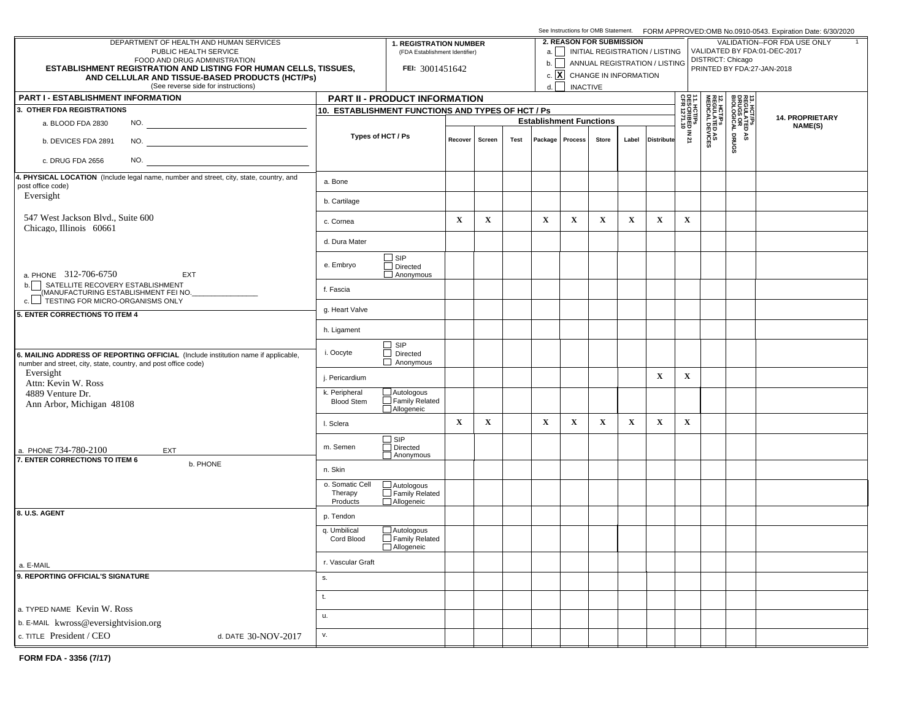|                                                                                                                                                     |                                        |                                                                                                                                             |             |                                               |      |                                |                   | See Instructions for OMB Statement. FORM APPROVED:OMB No.0910-0543. Expiration Date: 6/30/2020 |             |                               |                                                  |                                                              |                                                     |                 |  |  |  |  |
|-----------------------------------------------------------------------------------------------------------------------------------------------------|----------------------------------------|---------------------------------------------------------------------------------------------------------------------------------------------|-------------|-----------------------------------------------|------|--------------------------------|-------------------|------------------------------------------------------------------------------------------------|-------------|-------------------------------|--------------------------------------------------|--------------------------------------------------------------|-----------------------------------------------------|-----------------|--|--|--|--|
| DEPARTMENT OF HEALTH AND HUMAN SERVICES<br>PUBLIC HEALTH SERVICE                                                                                    |                                        | <b>2. REASON FOR SUBMISSION</b><br><b>1. REGISTRATION NUMBER</b><br>a.     INITIAL REGISTRATION / LISTING<br>(FDA Establishment Identifier) |             |                                               |      |                                |                   |                                                                                                |             |                               |                                                  | VALIDATION--FOR FDA USE ONLY<br>VALIDATED BY FDA:01-DEC-2017 |                                                     |                 |  |  |  |  |
| FOOD AND DRUG ADMINISTRATION<br><b>ESTABLISHMENT REGISTRATION AND LISTING FOR HUMAN CELLS, TISSUES,</b>                                             |                                        | FEI: 3001451642                                                                                                                             |             |                                               |      | b.                             |                   |                                                                                                |             | ANNUAL REGISTRATION / LISTING | DISTRICT: Chicago                                |                                                              |                                                     |                 |  |  |  |  |
| AND CELLULAR AND TISSUE-BASED PRODUCTS (HCT/Ps)                                                                                                     |                                        |                                                                                                                                             |             | c. $\boxed{\mathbf{X}}$ CHANGE IN INFORMATION |      |                                |                   | PRINTED BY FDA:27-JAN-2018                                                                     |             |                               |                                                  |                                                              |                                                     |                 |  |  |  |  |
| (See reverse side for instructions)                                                                                                                 |                                        |                                                                                                                                             |             |                                               |      | d.                             | <b>INACTIVE</b>   |                                                                                                |             |                               |                                                  |                                                              |                                                     |                 |  |  |  |  |
| <b>PART I - ESTABLISHMENT INFORMATION</b><br>3. OTHER FDA REGISTRATIONS                                                                             |                                        | PART II - PRODUCT INFORMATION                                                                                                               |             |                                               |      |                                |                   |                                                                                                |             |                               |                                                  |                                                              |                                                     |                 |  |  |  |  |
|                                                                                                                                                     |                                        | 10. ESTABLISHMENT FUNCTIONS AND TYPES OF HCT / Ps                                                                                           |             |                                               |      | <b>Establishment Functions</b> |                   |                                                                                                |             |                               | 11. HCT/Ps<br>  DESCRIBED IN 21<br>  CFR 1271.10 |                                                              | 13. HCT/PS<br>REGULATED<br>DRUGS OR<br>BIOLOGICAL I | 14. PROPRIETARY |  |  |  |  |
| a. BLOOD FDA 2830<br>NO.                                                                                                                            |                                        | Types of HCT / Ps                                                                                                                           |             |                                               |      |                                |                   |                                                                                                |             |                               |                                                  |                                                              |                                                     | NAME(S)         |  |  |  |  |
| NO.<br>b. DEVICES FDA 2891                                                                                                                          |                                        |                                                                                                                                             | Recover     | Screen                                        | Test |                                | Package   Process | Store                                                                                          | Label       | <b>Distribute</b>             |                                                  | <b>12. HCT/Ps<br/>REGULATED AS<br/>MEDICAL DEVICES</b>       | DRUGS<br>۵À                                         |                 |  |  |  |  |
| NO.<br>c. DRUG FDA 2656                                                                                                                             |                                        |                                                                                                                                             |             |                                               |      |                                |                   |                                                                                                |             |                               |                                                  |                                                              |                                                     |                 |  |  |  |  |
| 4. PHYSICAL LOCATION (Include legal name, number and street, city, state, country, and<br>post office code)                                         | a. Bone                                |                                                                                                                                             |             |                                               |      |                                |                   |                                                                                                |             |                               |                                                  |                                                              |                                                     |                 |  |  |  |  |
| Eversight                                                                                                                                           | b. Cartilage                           |                                                                                                                                             |             |                                               |      |                                |                   |                                                                                                |             |                               |                                                  |                                                              |                                                     |                 |  |  |  |  |
| 547 West Jackson Blvd., Suite 600                                                                                                                   | c. Cornea                              |                                                                                                                                             | $\mathbf X$ | $\mathbf X$                                   |      | $\mathbf X$                    | $\mathbf{X}$      | $\mathbf x$                                                                                    | $\mathbf X$ | $\mathbf x$                   | $\mathbf X$                                      |                                                              |                                                     |                 |  |  |  |  |
| Chicago, Illinois 60661                                                                                                                             | d. Dura Mater                          |                                                                                                                                             |             |                                               |      |                                |                   |                                                                                                |             |                               |                                                  |                                                              |                                                     |                 |  |  |  |  |
|                                                                                                                                                     | e. Embryo                              | $\square$ SIP<br>$\Box$ Directed                                                                                                            |             |                                               |      |                                |                   |                                                                                                |             |                               |                                                  |                                                              |                                                     |                 |  |  |  |  |
| a. PHONE 312-706-6750<br>EXT<br>b. SATELLITE RECOVERY ESTABLISHMENT<br>MANUFACTURING ESTABLISHMENT FEI NO.                                          | f. Fascia                              | $\Box$ Anonymous                                                                                                                            |             |                                               |      |                                |                   |                                                                                                |             |                               |                                                  |                                                              |                                                     |                 |  |  |  |  |
|                                                                                                                                                     | g. Heart Valve                         |                                                                                                                                             |             |                                               |      |                                |                   |                                                                                                |             |                               |                                                  |                                                              |                                                     |                 |  |  |  |  |
| 5. ENTER CORRECTIONS TO ITEM 4                                                                                                                      | h. Ligament                            |                                                                                                                                             |             |                                               |      |                                |                   |                                                                                                |             |                               |                                                  |                                                              |                                                     |                 |  |  |  |  |
|                                                                                                                                                     |                                        | $\Box$ SIP                                                                                                                                  |             |                                               |      |                                |                   |                                                                                                |             |                               |                                                  |                                                              |                                                     |                 |  |  |  |  |
| 6. MAILING ADDRESS OF REPORTING OFFICIAL (Include institution name if applicable,<br>number and street, city, state, country, and post office code) | i. Oocyte                              | $\Box$ Directed<br>$\Box$ Anonymous                                                                                                         |             |                                               |      |                                |                   |                                                                                                |             |                               |                                                  |                                                              |                                                     |                 |  |  |  |  |
| Eversight<br>Attn: Kevin W. Ross                                                                                                                    | j. Pericardium                         |                                                                                                                                             |             |                                               |      |                                |                   |                                                                                                |             | $\mathbf X$                   | $\mathbf X$                                      |                                                              |                                                     |                 |  |  |  |  |
| 4889 Venture Dr.<br>Ann Arbor, Michigan 48108                                                                                                       | k. Peripheral<br><b>Blood Stem</b>     | $\Box$ Autologous<br>$\Box$ Family Related<br>Allogeneic                                                                                    |             |                                               |      |                                |                   |                                                                                                |             |                               |                                                  |                                                              |                                                     |                 |  |  |  |  |
|                                                                                                                                                     | I. Sclera                              |                                                                                                                                             | $\mathbf X$ | $\mathbf X$                                   |      | $\mathbf X$                    | $\mathbf X$       | $\mathbf x$                                                                                    | $\mathbf X$ | $\mathbf X$                   | $\mathbf X$                                      |                                                              |                                                     |                 |  |  |  |  |
| a. PHONE 734-780-2100<br>EXT                                                                                                                        | m. Semen                               | $\Box$ SIP<br>Directed<br>Anonymous                                                                                                         |             |                                               |      |                                |                   |                                                                                                |             |                               |                                                  |                                                              |                                                     |                 |  |  |  |  |
| 7. ENTER CORRECTIONS TO ITEM 6<br>b. PHONE                                                                                                          | n. Skin                                |                                                                                                                                             |             |                                               |      |                                |                   |                                                                                                |             |                               |                                                  |                                                              |                                                     |                 |  |  |  |  |
|                                                                                                                                                     | o. Somatic Cell<br>Therapy<br>Products | $\overline{\square}$ Autologous<br>Family Related<br>Allogeneic                                                                             |             |                                               |      |                                |                   |                                                                                                |             |                               |                                                  |                                                              |                                                     |                 |  |  |  |  |
| 8. U.S. AGENT                                                                                                                                       | p. Tendon                              |                                                                                                                                             |             |                                               |      |                                |                   |                                                                                                |             |                               |                                                  |                                                              |                                                     |                 |  |  |  |  |
|                                                                                                                                                     | q. Umbilical<br>Cord Blood             | $\Box$ Autologous<br>Family Related                                                                                                         |             |                                               |      |                                |                   |                                                                                                |             |                               |                                                  |                                                              |                                                     |                 |  |  |  |  |
| a. E-MAIL                                                                                                                                           | r. Vascular Graft                      | Allogeneic                                                                                                                                  |             |                                               |      |                                |                   |                                                                                                |             |                               |                                                  |                                                              |                                                     |                 |  |  |  |  |
| 9. REPORTING OFFICIAL'S SIGNATURE                                                                                                                   | s.                                     |                                                                                                                                             |             |                                               |      |                                |                   |                                                                                                |             |                               |                                                  |                                                              |                                                     |                 |  |  |  |  |
|                                                                                                                                                     | t.                                     |                                                                                                                                             |             |                                               |      |                                |                   |                                                                                                |             |                               |                                                  |                                                              |                                                     |                 |  |  |  |  |
| a. TYPED NAME Kevin W. Ross                                                                                                                         | u.                                     |                                                                                                                                             |             |                                               |      |                                |                   |                                                                                                |             |                               |                                                  |                                                              |                                                     |                 |  |  |  |  |
| b. E-MAIL kwross@eversightvision.org                                                                                                                |                                        |                                                                                                                                             |             |                                               |      |                                |                   |                                                                                                |             |                               |                                                  |                                                              |                                                     |                 |  |  |  |  |
| c. TITLE President / CEO<br>d. DATE 30-NOV-2017                                                                                                     | v.                                     |                                                                                                                                             |             |                                               |      |                                |                   |                                                                                                |             |                               |                                                  |                                                              |                                                     |                 |  |  |  |  |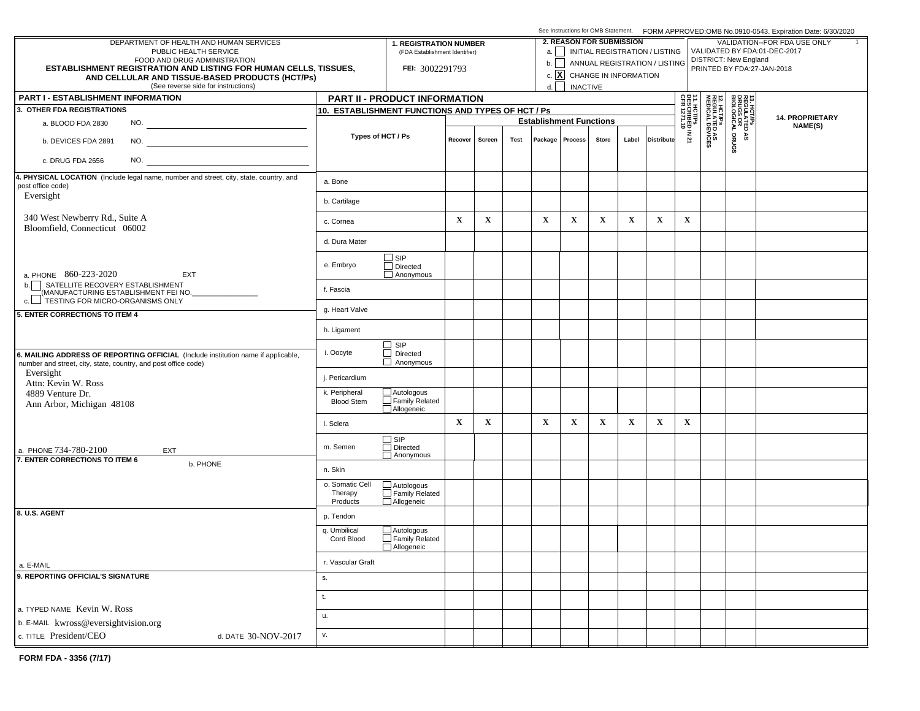|                                                                                                                                                     |                                        |                                                                 |                                |             |      |              | See Instructions for OMB Statement. FORM APPROVED:OMB No.0910-0543. Expiration Date: 6/30/2020 |              |             |                                       |                                                              |                                                        |                                                     |  |  |  |  |
|-----------------------------------------------------------------------------------------------------------------------------------------------------|----------------------------------------|-----------------------------------------------------------------|--------------------------------|-------------|------|--------------|------------------------------------------------------------------------------------------------|--------------|-------------|---------------------------------------|--------------------------------------------------------------|--------------------------------------------------------|-----------------------------------------------------|--|--|--|--|
| DEPARTMENT OF HEALTH AND HUMAN SERVICES<br>PUBLIC HEALTH SERVICE                                                                                    |                                        | <b>1. REGISTRATION NUMBER</b>                                   |                                |             |      |              | <b>2. REASON FOR SUBMISSION</b>                                                                |              |             | a.     INITIAL REGISTRATION / LISTING | VALIDATION--FOR FDA USE ONLY<br>VALIDATED BY FDA:01-DEC-2017 |                                                        |                                                     |  |  |  |  |
| FOOD AND DRUG ADMINISTRATION                                                                                                                        |                                        | (FDA Establishment Identifier)                                  |                                |             |      | b.           |                                                                                                |              |             | ANNUAL REGISTRATION / LISTING         | <b>DISTRICT: New England</b>                                 |                                                        |                                                     |  |  |  |  |
| <b>ESTABLISHMENT REGISTRATION AND LISTING FOR HUMAN CELLS, TISSUES,</b><br>AND CELLULAR AND TISSUE-BASED PRODUCTS (HCT/Ps)                          |                                        | FEI: 3002291793                                                 |                                |             |      |              | c. $\boxed{\mathbf{X}}$ CHANGE IN INFORMATION                                                  |              |             |                                       | PRINTED BY FDA:27-JAN-2018                                   |                                                        |                                                     |  |  |  |  |
| (See reverse side for instructions)                                                                                                                 |                                        |                                                                 |                                |             |      | d.           | <b>INACTIVE</b>                                                                                |              |             |                                       |                                                              |                                                        |                                                     |  |  |  |  |
| <b>PART I - ESTABLISHMENT INFORMATION</b>                                                                                                           |                                        | PART II - PRODUCT INFORMATION                                   |                                |             |      |              |                                                                                                |              |             |                                       |                                                              |                                                        |                                                     |  |  |  |  |
| 3. OTHER FDA REGISTRATIONS                                                                                                                          |                                        | 10. ESTABLISHMENT FUNCTIONS AND TYPES OF HCT / Ps               |                                |             |      |              |                                                                                                |              |             |                                       |                                                              |                                                        | 13. HCT/PS<br>REGULATED<br>DRUGS OR<br>BIOLOGICAL I |  |  |  |  |
| a. BLOOD FDA 2830                                                                                                                                   |                                        |                                                                 | <b>Establishment Functions</b> |             |      |              |                                                                                                |              |             |                                       | <b>14. PROPRIETARY</b><br>NAME(S)                            |                                                        |                                                     |  |  |  |  |
| b. DEVICES FDA 2891                                                                                                                                 |                                        | Types of HCT / Ps                                               | Recover                        | Screen      | Test |              | Package   Process                                                                              | <b>Store</b> | Label       | <b>Distribute</b>                     | 11. HCT/Ps<br>DESCRIBED IN 21<br>CFR 1271.10                 | <b>12. HCT/Ps<br/>REGULATED AS<br/>MEDICAL DEVICES</b> | DRUGS<br>٩S                                         |  |  |  |  |
| NO.<br>c. DRUG FDA 2656                                                                                                                             |                                        |                                                                 |                                |             |      |              |                                                                                                |              |             |                                       |                                                              |                                                        |                                                     |  |  |  |  |
| 4. PHYSICAL LOCATION (Include legal name, number and street, city, state, country, and<br>post office code)                                         | a. Bone                                |                                                                 |                                |             |      |              |                                                                                                |              |             |                                       |                                                              |                                                        |                                                     |  |  |  |  |
| Eversight                                                                                                                                           | b. Cartilage                           |                                                                 |                                |             |      |              |                                                                                                |              |             |                                       |                                                              |                                                        |                                                     |  |  |  |  |
| 340 West Newberry Rd., Suite A<br>Bloomfield, Connecticut 06002                                                                                     | c. Cornea                              |                                                                 | $\mathbf X$                    | $\mathbf X$ |      | $\mathbf{X}$ | $\mathbf X$                                                                                    | $\mathbf X$  | $\mathbf X$ | $\mathbf x$                           | $\mathbf X$                                                  |                                                        |                                                     |  |  |  |  |
|                                                                                                                                                     | d. Dura Mater                          |                                                                 |                                |             |      |              |                                                                                                |              |             |                                       |                                                              |                                                        |                                                     |  |  |  |  |
| a. PHONE 860-223-2020<br><b>EXT</b>                                                                                                                 | e. Embryo                              | $\Box$ SIP<br>$\Box$ Directed<br>$\Box$ Anonymous               |                                |             |      |              |                                                                                                |              |             |                                       |                                                              |                                                        |                                                     |  |  |  |  |
| SATELLITE RECOVERY ESTABLISHMENT<br>b.<br>(MANUFACTURING ESTABLISHMENT FEI NO.<br>c. FESTING FOR MICRO-ORGANISMS ONLY                               | f. Fascia                              |                                                                 |                                |             |      |              |                                                                                                |              |             |                                       |                                                              |                                                        |                                                     |  |  |  |  |
| 5. ENTER CORRECTIONS TO ITEM 4                                                                                                                      | g. Heart Valve                         |                                                                 |                                |             |      |              |                                                                                                |              |             |                                       |                                                              |                                                        |                                                     |  |  |  |  |
|                                                                                                                                                     | h. Ligament                            |                                                                 |                                |             |      |              |                                                                                                |              |             |                                       |                                                              |                                                        |                                                     |  |  |  |  |
| 6. MAILING ADDRESS OF REPORTING OFFICIAL (Include institution name if applicable,<br>number and street, city, state, country, and post office code) | i. Oocyte                              | $\Box$ SIP<br>$\Box$ Directed<br>$\Box$ Anonymous               |                                |             |      |              |                                                                                                |              |             |                                       |                                                              |                                                        |                                                     |  |  |  |  |
| Eversight<br>Attn: Kevin W. Ross                                                                                                                    | j. Pericardium                         |                                                                 |                                |             |      |              |                                                                                                |              |             |                                       |                                                              |                                                        |                                                     |  |  |  |  |
| 4889 Venture Dr.<br>Ann Arbor, Michigan 48108                                                                                                       | k. Peripheral<br><b>Blood Stem</b>     | $\Box$ Autologous<br>$\Box$ Family Related<br>Allogeneic        |                                |             |      |              |                                                                                                |              |             |                                       |                                                              |                                                        |                                                     |  |  |  |  |
|                                                                                                                                                     | I. Sclera                              |                                                                 | $\mathbf X$                    | $\mathbf X$ |      | $\mathbf X$  | $\mathbf X$                                                                                    | $\mathbf X$  | $\mathbf x$ | $\mathbf X$                           | $\mathbf X$                                                  |                                                        |                                                     |  |  |  |  |
| a. PHONE 734-780-2100<br>EXT                                                                                                                        | m. Semen                               | □ SIP<br>□ Directed<br>Anonymous                                |                                |             |      |              |                                                                                                |              |             |                                       |                                                              |                                                        |                                                     |  |  |  |  |
| 7. ENTER CORRECTIONS TO ITEM 6<br>b. PHONE                                                                                                          | n. Skin                                |                                                                 |                                |             |      |              |                                                                                                |              |             |                                       |                                                              |                                                        |                                                     |  |  |  |  |
|                                                                                                                                                     | o. Somatic Cell<br>Therapy<br>Products | $\overline{\square}$ Autologous<br>Family Related<br>Allogeneic |                                |             |      |              |                                                                                                |              |             |                                       |                                                              |                                                        |                                                     |  |  |  |  |
| 8. U.S. AGENT                                                                                                                                       | p. Tendon                              |                                                                 |                                |             |      |              |                                                                                                |              |             |                                       |                                                              |                                                        |                                                     |  |  |  |  |
|                                                                                                                                                     | q. Umbilical<br>Cord Blood             | $\Box$ Autologous<br>$\Box$ Family Related<br>Allogeneic        |                                |             |      |              |                                                                                                |              |             |                                       |                                                              |                                                        |                                                     |  |  |  |  |
| a. E-MAIL                                                                                                                                           | r. Vascular Graft                      |                                                                 |                                |             |      |              |                                                                                                |              |             |                                       |                                                              |                                                        |                                                     |  |  |  |  |
| 9. REPORTING OFFICIAL'S SIGNATURE                                                                                                                   | S.                                     |                                                                 |                                |             |      |              |                                                                                                |              |             |                                       |                                                              |                                                        |                                                     |  |  |  |  |
| a. TYPED NAME Kevin W. Ross                                                                                                                         | t.                                     |                                                                 |                                |             |      |              |                                                                                                |              |             |                                       |                                                              |                                                        |                                                     |  |  |  |  |
| b. E-MAIL kwross@eversightvision.org                                                                                                                | u.                                     |                                                                 |                                |             |      |              |                                                                                                |              |             |                                       |                                                              |                                                        |                                                     |  |  |  |  |
| c. TITLE President/CEO<br>d. DATE 30-NOV-2017                                                                                                       | v.                                     |                                                                 |                                |             |      |              |                                                                                                |              |             |                                       |                                                              |                                                        |                                                     |  |  |  |  |
|                                                                                                                                                     |                                        |                                                                 |                                |             |      |              |                                                                                                |              |             |                                       |                                                              |                                                        |                                                     |  |  |  |  |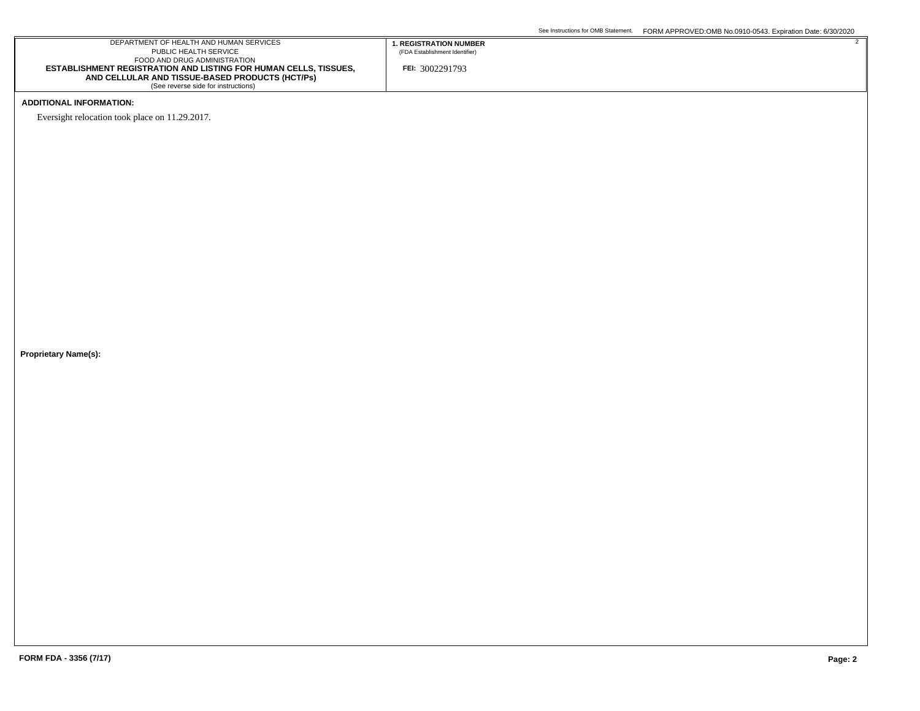## DEPARTMENT OF HEALTH AND HUMAN SERVICES PUBLIC HEALTH SERVICE FOOD AND DRUG ADMINISTRATION **ESTABLISHMENT REGISTRATION AND LISTING FOR HUMAN CELLS, TISSUES, AND CELLULAR AND TISSUE-BASED PRODUCTS (HCT/Ps)** (See reverse side for instructions) **FEI:** 3002291793 **1. REGISTRATION NUMBER** (FDA Establishment Identifier)

## **ADDITIONAL INFORMATION:**

Eversight relocation took place on 11.29.2017.

**Proprietary Name(s):**

2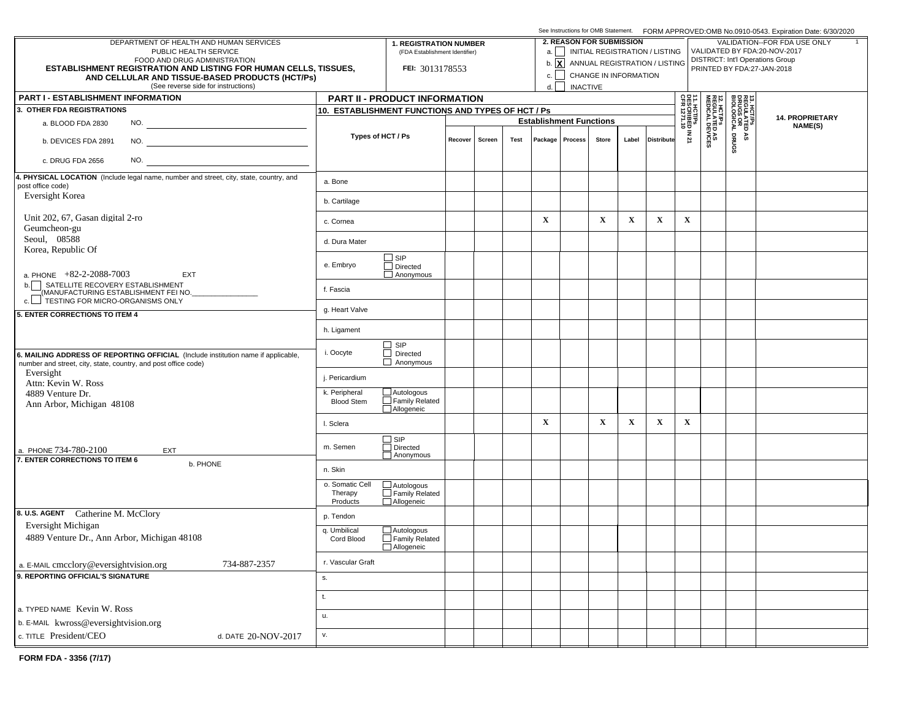|                                                                                                                                                     |                                                   |                                     |                   |      |                                |                                 |             | See Instructions for OMB Statement. FORM APPROVED:OMB No.0910-0543. Expiration Date: 6/30/2020 |                                                                                                |                                           |                                                              |                                                     |                                   |  |  |  |  |  |
|-----------------------------------------------------------------------------------------------------------------------------------------------------|---------------------------------------------------|-------------------------------------|-------------------|------|--------------------------------|---------------------------------|-------------|------------------------------------------------------------------------------------------------|------------------------------------------------------------------------------------------------|-------------------------------------------|--------------------------------------------------------------|-----------------------------------------------------|-----------------------------------|--|--|--|--|--|
| DEPARTMENT OF HEALTH AND HUMAN SERVICES                                                                                                             |                                                   | <b>1. REGISTRATION NUMBER</b>       |                   |      |                                | <b>2. REASON FOR SUBMISSION</b> |             |                                                                                                |                                                                                                |                                           | VALIDATION--FOR FDA USE ONLY<br>VALIDATED BY FDA:20-NOV-2017 |                                                     |                                   |  |  |  |  |  |
| PUBLIC HEALTH SERVICE<br>FOOD AND DRUG ADMINISTRATION                                                                                               |                                                   | (FDA Establishment Identifier)      |                   |      |                                |                                 |             |                                                                                                | a.     INITIAL REGISTRATION / LISTING<br>b. $\boxed{\mathbf{X}}$ ANNUAL REGISTRATION / LISTING |                                           | <b>DISTRICT: Int'l Operations Group</b>                      |                                                     |                                   |  |  |  |  |  |
| <b>ESTABLISHMENT REGISTRATION AND LISTING FOR HUMAN CELLS, TISSUES,</b>                                                                             |                                                   | FEI: 3013178553                     |                   | c.   |                                | CHANGE IN INFORMATION           |             |                                                                                                |                                                                                                | PRINTED BY FDA:27-JAN-2018                |                                                              |                                                     |                                   |  |  |  |  |  |
| AND CELLULAR AND TISSUE-BASED PRODUCTS (HCT/Ps)<br>(See reverse side for instructions)                                                              |                                                   | d.                                  | <b>INACTIVE</b>   |      |                                |                                 |             |                                                                                                |                                                                                                |                                           |                                                              |                                                     |                                   |  |  |  |  |  |
| <b>PART I - ESTABLISHMENT INFORMATION</b>                                                                                                           |                                                   | PART II - PRODUCT INFORMATION       |                   |      |                                |                                 |             |                                                                                                |                                                                                                | 읇름│                                       |                                                              |                                                     |                                   |  |  |  |  |  |
| 3. OTHER FDA REGISTRATIONS                                                                                                                          | 10. ESTABLISHMENT FUNCTIONS AND TYPES OF HCT / Ps |                                     |                   |      |                                |                                 |             |                                                                                                |                                                                                                |                                           |                                                              | 13. HCT/PS<br>REGULATED<br>DRUGS OR<br>BIOLOGICAL I |                                   |  |  |  |  |  |
| a. BLOOD FDA 2830<br>NO.                                                                                                                            |                                                   |                                     |                   |      | <b>Establishment Functions</b> |                                 |             |                                                                                                |                                                                                                | 1. HCT/Ps<br>ESCRIBED IN 21<br>FR 1271.10 | <b>12. HCT/Ps<br/>REGULATED AS<br/>MEDICAL DEVICES</b>       |                                                     | <b>14. PROPRIETARY</b><br>NAME(S) |  |  |  |  |  |
|                                                                                                                                                     | Types of HCT / Ps                                 |                                     | Recover<br>Screen | Test |                                | Package   Process               | Store       | Label                                                                                          | <b>Distribute</b>                                                                              |                                           |                                                              | ۵À                                                  |                                   |  |  |  |  |  |
| NO.<br>b. DEVICES FDA 2891                                                                                                                          |                                                   |                                     |                   |      |                                |                                 |             |                                                                                                |                                                                                                |                                           |                                                              | DRUGS                                               |                                   |  |  |  |  |  |
| NO.<br>c. DRUG FDA 2656                                                                                                                             |                                                   |                                     |                   |      |                                |                                 |             |                                                                                                |                                                                                                |                                           |                                                              |                                                     |                                   |  |  |  |  |  |
| 4. PHYSICAL LOCATION (Include legal name, number and street, city, state, country, and                                                              | a. Bone                                           |                                     |                   |      |                                |                                 |             |                                                                                                |                                                                                                |                                           |                                                              |                                                     |                                   |  |  |  |  |  |
| post office code)<br><b>Eversight Korea</b>                                                                                                         |                                                   |                                     |                   |      |                                |                                 |             |                                                                                                |                                                                                                |                                           |                                                              |                                                     |                                   |  |  |  |  |  |
|                                                                                                                                                     | b. Cartilage                                      |                                     |                   |      |                                |                                 |             |                                                                                                |                                                                                                |                                           |                                                              |                                                     |                                   |  |  |  |  |  |
| Unit 202, 67, Gasan digital 2-ro<br>Geumcheon-gu                                                                                                    | c. Cornea                                         |                                     |                   |      | $\mathbf X$                    |                                 | $\mathbf X$ | $\mathbf X$                                                                                    | $\mathbf x$                                                                                    | $\mathbf X$                               |                                                              |                                                     |                                   |  |  |  |  |  |
| Seoul, 08588<br>Korea, Republic Of                                                                                                                  | d. Dura Mater                                     |                                     |                   |      |                                |                                 |             |                                                                                                |                                                                                                |                                           |                                                              |                                                     |                                   |  |  |  |  |  |
|                                                                                                                                                     |                                                   | $\square$ SIP                       |                   |      |                                |                                 |             |                                                                                                |                                                                                                |                                           |                                                              |                                                     |                                   |  |  |  |  |  |
| a. PHONE $+82-2-2088-7003$<br>EXT                                                                                                                   | e. Embryo                                         | $\Box$ Directed<br>$\Box$ Anonymous |                   |      |                                |                                 |             |                                                                                                |                                                                                                |                                           |                                                              |                                                     |                                   |  |  |  |  |  |
| b. SATELLITE RECOVERY ESTABLISHMENT<br>MANUFACTURING ESTABLISHMENT FEI NO.                                                                          | f. Fascia                                         |                                     |                   |      |                                |                                 |             |                                                                                                |                                                                                                |                                           |                                                              |                                                     |                                   |  |  |  |  |  |
| 5. ENTER CORRECTIONS TO ITEM 4                                                                                                                      | g. Heart Valve                                    |                                     |                   |      |                                |                                 |             |                                                                                                |                                                                                                |                                           |                                                              |                                                     |                                   |  |  |  |  |  |
|                                                                                                                                                     | h. Ligament                                       |                                     |                   |      |                                |                                 |             |                                                                                                |                                                                                                |                                           |                                                              |                                                     |                                   |  |  |  |  |  |
|                                                                                                                                                     |                                                   | $\Box$ SIP                          |                   |      |                                |                                 |             |                                                                                                |                                                                                                |                                           |                                                              |                                                     |                                   |  |  |  |  |  |
| 6. MAILING ADDRESS OF REPORTING OFFICIAL (Include institution name if applicable,<br>number and street, city, state, country, and post office code) | i. Oocyte                                         | $\Box$ Directed<br>$\Box$ Anonymous |                   |      |                                |                                 |             |                                                                                                |                                                                                                |                                           |                                                              |                                                     |                                   |  |  |  |  |  |
| Eversight<br>Attn: Kevin W. Ross                                                                                                                    | j. Pericardium                                    |                                     |                   |      |                                |                                 |             |                                                                                                |                                                                                                |                                           |                                                              |                                                     |                                   |  |  |  |  |  |
| 4889 Venture Dr.                                                                                                                                    | k. Peripheral                                     | $\Box$ Autologous                   |                   |      |                                |                                 |             |                                                                                                |                                                                                                |                                           |                                                              |                                                     |                                   |  |  |  |  |  |
| Ann Arbor, Michigan 48108                                                                                                                           | <b>Blood Stem</b>                                 | $\Box$ Family Related<br>Allogeneic |                   |      |                                |                                 |             |                                                                                                |                                                                                                |                                           |                                                              |                                                     |                                   |  |  |  |  |  |
|                                                                                                                                                     | I. Sclera                                         |                                     |                   |      | $\mathbf X$                    |                                 | $\mathbf X$ | $\mathbf X$                                                                                    | $\mathbf X$                                                                                    | $\mathbf X$                               |                                                              |                                                     |                                   |  |  |  |  |  |
|                                                                                                                                                     | m. Semen                                          | $\Box$ SIP<br>Directed              |                   |      |                                |                                 |             |                                                                                                |                                                                                                |                                           |                                                              |                                                     |                                   |  |  |  |  |  |
| a. PHONE 734-780-2100<br>EXT<br>7. ENTER CORRECTIONS TO ITEM 6                                                                                      |                                                   | Anonymous                           |                   |      |                                |                                 |             |                                                                                                |                                                                                                |                                           |                                                              |                                                     |                                   |  |  |  |  |  |
| b. PHONE                                                                                                                                            | n. Skin                                           |                                     |                   |      |                                |                                 |             |                                                                                                |                                                                                                |                                           |                                                              |                                                     |                                   |  |  |  |  |  |
|                                                                                                                                                     | o. Somatic Cell                                   | $\overline{\square}$ Autologous     |                   |      |                                |                                 |             |                                                                                                |                                                                                                |                                           |                                                              |                                                     |                                   |  |  |  |  |  |
|                                                                                                                                                     | Therapy<br>Products                               | Family Related<br>Allogeneic        |                   |      |                                |                                 |             |                                                                                                |                                                                                                |                                           |                                                              |                                                     |                                   |  |  |  |  |  |
| 8. U.S. AGENT Catherine M. McClory                                                                                                                  | p. Tendon                                         |                                     |                   |      |                                |                                 |             |                                                                                                |                                                                                                |                                           |                                                              |                                                     |                                   |  |  |  |  |  |
| Eversight Michigan                                                                                                                                  | q. Umbilical                                      | $\Box$ Autologous                   |                   |      |                                |                                 |             |                                                                                                |                                                                                                |                                           |                                                              |                                                     |                                   |  |  |  |  |  |
| 4889 Venture Dr., Ann Arbor, Michigan 48108                                                                                                         | Cord Blood                                        | Family Related<br>Allogeneic        |                   |      |                                |                                 |             |                                                                                                |                                                                                                |                                           |                                                              |                                                     |                                   |  |  |  |  |  |
| a. E-MAIL cmcclory@eversightvision.org<br>734-887-2357                                                                                              | r. Vascular Graft                                 |                                     |                   |      |                                |                                 |             |                                                                                                |                                                                                                |                                           |                                                              |                                                     |                                   |  |  |  |  |  |
| 9. REPORTING OFFICIAL'S SIGNATURE                                                                                                                   | s.                                                |                                     |                   |      |                                |                                 |             |                                                                                                |                                                                                                |                                           |                                                              |                                                     |                                   |  |  |  |  |  |
|                                                                                                                                                     | t.                                                |                                     |                   |      |                                |                                 |             |                                                                                                |                                                                                                |                                           |                                                              |                                                     |                                   |  |  |  |  |  |
| a. TYPED NAME Kevin W. Ross                                                                                                                         | u.                                                |                                     |                   |      |                                |                                 |             |                                                                                                |                                                                                                |                                           |                                                              |                                                     |                                   |  |  |  |  |  |
| b. E-MAIL kwross@eversightvision.org                                                                                                                | v.                                                |                                     |                   |      |                                |                                 |             |                                                                                                |                                                                                                |                                           |                                                              |                                                     |                                   |  |  |  |  |  |
| c. TITLE President/CEO<br>d. DATE 20-NOV-2017                                                                                                       |                                                   |                                     |                   |      |                                |                                 |             |                                                                                                |                                                                                                |                                           |                                                              |                                                     |                                   |  |  |  |  |  |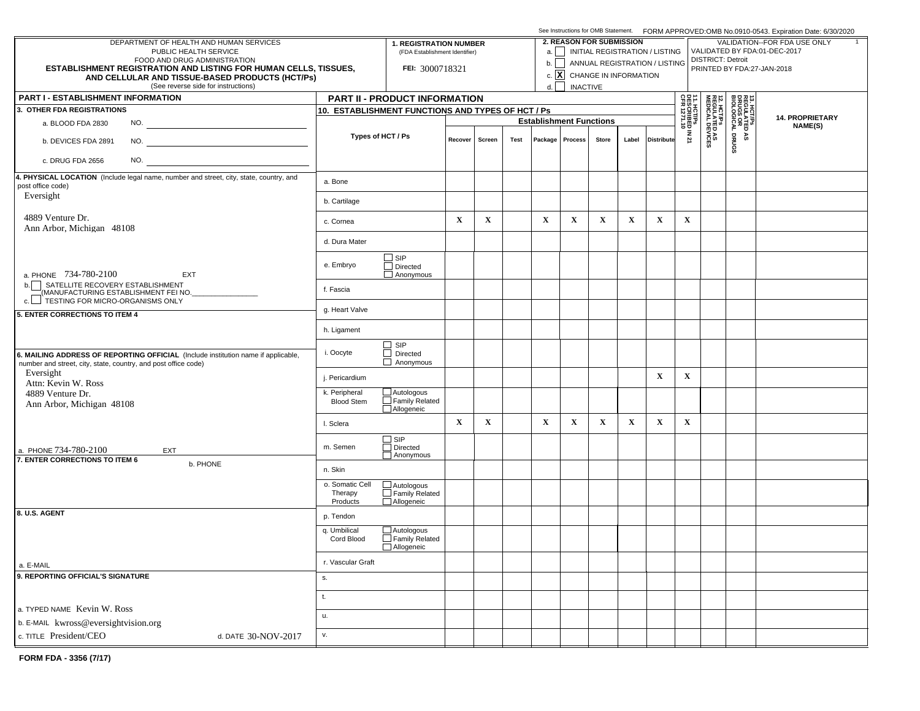|                                                                                                                                                     |                                        |                                                                 |             |             |                                 |                                | See Instructions for OMB Statement. FORM APPROVED:OMB No.0910-0543. Expiration Date: 6/30/2020 |                              |             |                               |                                                          |                                                        |                                                     |                        |  |  |  |
|-----------------------------------------------------------------------------------------------------------------------------------------------------|----------------------------------------|-----------------------------------------------------------------|-------------|-------------|---------------------------------|--------------------------------|------------------------------------------------------------------------------------------------|------------------------------|-------------|-------------------------------|----------------------------------------------------------|--------------------------------------------------------|-----------------------------------------------------|------------------------|--|--|--|
| DEPARTMENT OF HEALTH AND HUMAN SERVICES<br>PUBLIC HEALTH SERVICE                                                                                    |                                        | <b>1. REGISTRATION NUMBER</b><br>(FDA Establishment Identifier) |             |             | <b>2. REASON FOR SUBMISSION</b> |                                | a.     INITIAL REGISTRATION / LISTING                                                          | VALIDATION--FOR FDA USE ONLY |             |                               |                                                          |                                                        |                                                     |                        |  |  |  |
| FOOD AND DRUG ADMINISTRATION                                                                                                                        |                                        |                                                                 |             |             |                                 | b.                             |                                                                                                |                              |             | ANNUAL REGISTRATION / LISTING | VALIDATED BY FDA:01-DEC-2017<br><b>DISTRICT: Detroit</b> |                                                        |                                                     |                        |  |  |  |
| <b>ESTABLISHMENT REGISTRATION AND LISTING FOR HUMAN CELLS, TISSUES,</b><br>AND CELLULAR AND TISSUE-BASED PRODUCTS (HCT/Ps)                          |                                        | FEI: 3000718321                                                 |             |             |                                 |                                | c. $\boxed{\mathbf{X}}$ CHANGE IN INFORMATION                                                  |                              |             |                               | PRINTED BY FDA:27-JAN-2018                               |                                                        |                                                     |                        |  |  |  |
| (See reverse side for instructions)                                                                                                                 |                                        |                                                                 |             |             |                                 | d.                             | <b>INACTIVE</b>                                                                                |                              |             |                               |                                                          |                                                        |                                                     |                        |  |  |  |
| <b>PART I - ESTABLISHMENT INFORMATION</b>                                                                                                           |                                        | PART II - PRODUCT INFORMATION                                   |             |             |                                 |                                |                                                                                                |                              |             |                               | 요즘 =                                                     |                                                        |                                                     |                        |  |  |  |
| 3. OTHER FDA REGISTRATIONS                                                                                                                          |                                        | 10. ESTABLISHMENT FUNCTIONS AND TYPES OF HCT / Ps               |             |             |                                 |                                |                                                                                                |                              |             |                               | 1. HCT/Ps<br>ESCRIBED IN 21<br>FR 1271.10                |                                                        | 13. HCT/PS<br>REGULATED<br>DRUGS OR<br>BIOLOGICAL I | <b>14. PROPRIETARY</b> |  |  |  |
| a. BLOOD FDA 2830<br>NO.                                                                                                                            |                                        |                                                                 |             |             |                                 | <b>Establishment Functions</b> |                                                                                                |                              |             |                               |                                                          |                                                        |                                                     | NAME(S)                |  |  |  |
| b. DEVICES FDA 2891                                                                                                                                 |                                        | Types of HCT / Ps                                               | Recover     | Screen      | Test                            |                                | Package   Process                                                                              | <b>Store</b>                 | Label       | <b>Distribute</b>             |                                                          | <b>12. HCT/Ps<br/>REGULATED AS<br/>MEDICAL DEVICES</b> | DRUGS<br>٩S                                         |                        |  |  |  |
| NO.<br>c. DRUG FDA 2656                                                                                                                             |                                        |                                                                 |             |             |                                 |                                |                                                                                                |                              |             |                               |                                                          |                                                        |                                                     |                        |  |  |  |
| 4. PHYSICAL LOCATION (Include legal name, number and street, city, state, country, and<br>post office code)                                         | a. Bone                                |                                                                 |             |             |                                 |                                |                                                                                                |                              |             |                               |                                                          |                                                        |                                                     |                        |  |  |  |
| Eversight                                                                                                                                           | b. Cartilage                           |                                                                 |             |             |                                 |                                |                                                                                                |                              |             |                               |                                                          |                                                        |                                                     |                        |  |  |  |
| 4889 Venture Dr.<br>Ann Arbor, Michigan 48108                                                                                                       | c. Cornea                              |                                                                 | $\mathbf X$ | $\mathbf X$ |                                 | $\mathbf{X}$                   | $\mathbf X$                                                                                    | $\mathbf X$                  | $\mathbf X$ | $\mathbf x$                   | $\mathbf X$                                              |                                                        |                                                     |                        |  |  |  |
|                                                                                                                                                     | d. Dura Mater                          |                                                                 |             |             |                                 |                                |                                                                                                |                              |             |                               |                                                          |                                                        |                                                     |                        |  |  |  |
| a. PHONE 734-780-2100<br><b>EXT</b>                                                                                                                 | e. Embryo                              | $\Box$ SIP<br>$\Box$ Directed<br>$\Box$ Anonymous               |             |             |                                 |                                |                                                                                                |                              |             |                               |                                                          |                                                        |                                                     |                        |  |  |  |
| SATELLITE RECOVERY ESTABLISHMENT<br>b.<br>(MANUFACTURING ESTABLISHMENT FEI NO.<br>c. FESTING FOR MICRO-ORGANISMS ONLY                               | f. Fascia                              |                                                                 |             |             |                                 |                                |                                                                                                |                              |             |                               |                                                          |                                                        |                                                     |                        |  |  |  |
| 5. ENTER CORRECTIONS TO ITEM 4                                                                                                                      | g. Heart Valve                         |                                                                 |             |             |                                 |                                |                                                                                                |                              |             |                               |                                                          |                                                        |                                                     |                        |  |  |  |
|                                                                                                                                                     | h. Ligament                            |                                                                 |             |             |                                 |                                |                                                                                                |                              |             |                               |                                                          |                                                        |                                                     |                        |  |  |  |
| 6. MAILING ADDRESS OF REPORTING OFFICIAL (Include institution name if applicable,<br>number and street, city, state, country, and post office code) | i. Oocyte                              | $\Box$ SIP<br>$\Box$ Directed<br>$\Box$ Anonymous               |             |             |                                 |                                |                                                                                                |                              |             |                               |                                                          |                                                        |                                                     |                        |  |  |  |
| Eversight<br>Attn: Kevin W. Ross                                                                                                                    | j. Pericardium                         |                                                                 |             |             |                                 |                                |                                                                                                |                              |             | $\mathbf X$                   | $\mathbf X$                                              |                                                        |                                                     |                        |  |  |  |
| 4889 Venture Dr.<br>Ann Arbor, Michigan 48108                                                                                                       | k. Peripheral<br><b>Blood Stem</b>     | $\Box$ Autologous<br>$\Box$ Family Related<br>Allogeneic        |             |             |                                 |                                |                                                                                                |                              |             |                               |                                                          |                                                        |                                                     |                        |  |  |  |
|                                                                                                                                                     | I. Sclera                              |                                                                 | $\mathbf X$ | $\mathbf X$ |                                 | $\mathbf X$                    | $\mathbf X$                                                                                    | $\mathbf X$                  | $\mathbf x$ | $\mathbf X$                   | $\mathbf X$                                              |                                                        |                                                     |                        |  |  |  |
| a. PHONE 734-780-2100<br>EXT<br>7. ENTER CORRECTIONS TO ITEM 6                                                                                      | m. Semen                               | □ SIP<br>□ Directed<br>Anonymous                                |             |             |                                 |                                |                                                                                                |                              |             |                               |                                                          |                                                        |                                                     |                        |  |  |  |
| b. PHONE                                                                                                                                            | n. Skin                                |                                                                 |             |             |                                 |                                |                                                                                                |                              |             |                               |                                                          |                                                        |                                                     |                        |  |  |  |
|                                                                                                                                                     | o. Somatic Cell<br>Therapy<br>Products | $\overline{\square}$ Autologous<br>Family Related<br>Allogeneic |             |             |                                 |                                |                                                                                                |                              |             |                               |                                                          |                                                        |                                                     |                        |  |  |  |
| 8. U.S. AGENT                                                                                                                                       | p. Tendon                              |                                                                 |             |             |                                 |                                |                                                                                                |                              |             |                               |                                                          |                                                        |                                                     |                        |  |  |  |
|                                                                                                                                                     | q. Umbilical<br>Cord Blood             | $\Box$ Autologous<br>$\Box$ Family Related<br>Allogeneic        |             |             |                                 |                                |                                                                                                |                              |             |                               |                                                          |                                                        |                                                     |                        |  |  |  |
| a. E-MAIL                                                                                                                                           | r. Vascular Graft                      |                                                                 |             |             |                                 |                                |                                                                                                |                              |             |                               |                                                          |                                                        |                                                     |                        |  |  |  |
| 9. REPORTING OFFICIAL'S SIGNATURE                                                                                                                   | S.                                     |                                                                 |             |             |                                 |                                |                                                                                                |                              |             |                               |                                                          |                                                        |                                                     |                        |  |  |  |
| a. TYPED NAME Kevin W. Ross                                                                                                                         | t.                                     |                                                                 |             |             |                                 |                                |                                                                                                |                              |             |                               |                                                          |                                                        |                                                     |                        |  |  |  |
| b. E-MAIL kwross@eversightvision.org                                                                                                                | u.                                     |                                                                 |             |             |                                 |                                |                                                                                                |                              |             |                               |                                                          |                                                        |                                                     |                        |  |  |  |
| c. TITLE President/CEO<br>d. DATE 30-NOV-2017                                                                                                       | v.                                     |                                                                 |             |             |                                 |                                |                                                                                                |                              |             |                               |                                                          |                                                        |                                                     |                        |  |  |  |
|                                                                                                                                                     |                                        |                                                                 |             |             |                                 |                                |                                                                                                |                              |             |                               |                                                          |                                                        |                                                     |                        |  |  |  |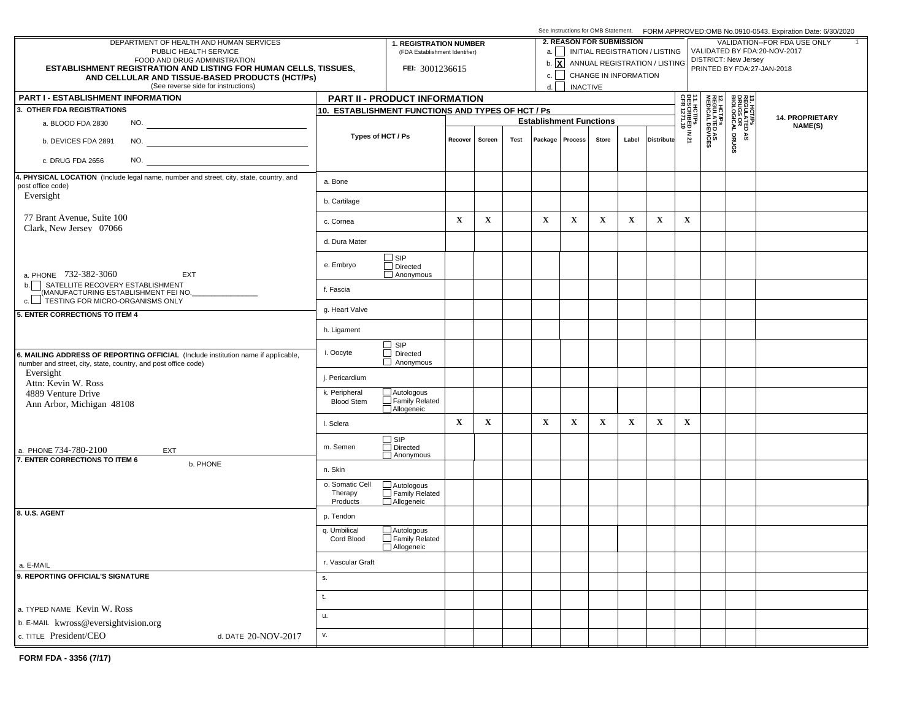|                                                                                                                                                     |                                        |                                                                                                                                             |             |             |      |                                |                 | See Instructions for OMB Statement. FORM APPROVED:OMB No.0910-0543. Expiration Date: 6/30/2020 |             |                                           |                                                           |                                                              |                                                     |                            |  |  |  |  |
|-----------------------------------------------------------------------------------------------------------------------------------------------------|----------------------------------------|---------------------------------------------------------------------------------------------------------------------------------------------|-------------|-------------|------|--------------------------------|-----------------|------------------------------------------------------------------------------------------------|-------------|-------------------------------------------|-----------------------------------------------------------|--------------------------------------------------------------|-----------------------------------------------------|----------------------------|--|--|--|--|
| DEPARTMENT OF HEALTH AND HUMAN SERVICES<br>PUBLIC HEALTH SERVICE                                                                                    |                                        | <b>2. REASON FOR SUBMISSION</b><br><b>1. REGISTRATION NUMBER</b><br>a.     INITIAL REGISTRATION / LISTING<br>(FDA Establishment Identifier) |             |             |      |                                |                 |                                                                                                |             |                                           |                                                           | VALIDATION--FOR FDA USE ONLY<br>VALIDATED BY FDA:20-NOV-2017 |                                                     |                            |  |  |  |  |
| FOOD AND DRUG ADMINISTRATION<br><b>ESTABLISHMENT REGISTRATION AND LISTING FOR HUMAN CELLS, TISSUES,</b>                                             |                                        | FEI: 3001236615                                                                                                                             |             |             |      |                                |                 |                                                                                                |             | b. <b>x</b> ANNUAL REGISTRATION / LISTING | <b>DISTRICT: New Jersey</b><br>PRINTED BY FDA:27-JAN-2018 |                                                              |                                                     |                            |  |  |  |  |
| AND CELLULAR AND TISSUE-BASED PRODUCTS (HCT/Ps)                                                                                                     |                                        |                                                                                                                                             |             |             |      | c.                             |                 | CHANGE IN INFORMATION                                                                          |             |                                           |                                                           |                                                              |                                                     |                            |  |  |  |  |
| (See reverse side for instructions)<br><b>PART I - ESTABLISHMENT INFORMATION</b>                                                                    |                                        | PART II - PRODUCT INFORMATION                                                                                                               |             |             |      | d.                             | <b>INACTIVE</b> |                                                                                                |             |                                           |                                                           |                                                              |                                                     |                            |  |  |  |  |
| 3. OTHER FDA REGISTRATIONS                                                                                                                          |                                        | 10. ESTABLISHMENT FUNCTIONS AND TYPES OF HCT / Ps                                                                                           |             |             |      |                                |                 |                                                                                                |             |                                           |                                                           |                                                              |                                                     |                            |  |  |  |  |
| a. BLOOD FDA 2830<br>NO.                                                                                                                            |                                        |                                                                                                                                             |             |             |      | <b>Establishment Functions</b> |                 |                                                                                                |             |                                           |                                                           |                                                              | 13. HCT/PS<br>REGULATED<br>DRUGS OR<br>BIOLOGICAL I | 14. PROPRIETARY<br>NAME(S) |  |  |  |  |
| NO.<br>b. DEVICES FDA 2891                                                                                                                          | Types of HCT / Ps                      |                                                                                                                                             | Recover     | Screen      | Test |                                | Package Process | Store                                                                                          | Label       | <b>Distribute</b>                         | 11. HCT/Ps<br>  DESCRIBED IN 21<br>  CFR 1271.10          | <b>12. HCT/Ps<br/>REGULATED AS<br/>MEDICAL DEVICES</b>       | DRUGS<br>۵À                                         |                            |  |  |  |  |
| NO.<br>c. DRUG FDA 2656                                                                                                                             |                                        |                                                                                                                                             |             |             |      |                                |                 |                                                                                                |             |                                           |                                                           |                                                              |                                                     |                            |  |  |  |  |
| 4. PHYSICAL LOCATION (Include legal name, number and street, city, state, country, and                                                              | a. Bone                                |                                                                                                                                             |             |             |      |                                |                 |                                                                                                |             |                                           |                                                           |                                                              |                                                     |                            |  |  |  |  |
| post office code)<br>Eversight                                                                                                                      | b. Cartilage                           |                                                                                                                                             |             |             |      |                                |                 |                                                                                                |             |                                           |                                                           |                                                              |                                                     |                            |  |  |  |  |
| 77 Brant Avenue, Suite 100<br>Clark, New Jersey 07066                                                                                               | c. Cornea                              |                                                                                                                                             | $\mathbf X$ | $\mathbf X$ |      | $\mathbf X$                    | $\mathbf X$     | $\mathbf x$                                                                                    | $\mathbf X$ | $\mathbf x$                               | $\mathbf X$                                               |                                                              |                                                     |                            |  |  |  |  |
|                                                                                                                                                     | d. Dura Mater                          |                                                                                                                                             |             |             |      |                                |                 |                                                                                                |             |                                           |                                                           |                                                              |                                                     |                            |  |  |  |  |
| a. PHONE 732-382-3060<br>EXT                                                                                                                        | e. Embryo                              | $\square$ SIP<br>$\Box$ Directed<br>$\Box$ Anonymous                                                                                        |             |             |      |                                |                 |                                                                                                |             |                                           |                                                           |                                                              |                                                     |                            |  |  |  |  |
| b. SATELLITE RECOVERY ESTABLISHMENT<br>MANUFACTURING ESTABLISHMENT FEI NO.                                                                          | f. Fascia                              |                                                                                                                                             |             |             |      |                                |                 |                                                                                                |             |                                           |                                                           |                                                              |                                                     |                            |  |  |  |  |
| 5. ENTER CORRECTIONS TO ITEM 4                                                                                                                      | g. Heart Valve                         |                                                                                                                                             |             |             |      |                                |                 |                                                                                                |             |                                           |                                                           |                                                              |                                                     |                            |  |  |  |  |
|                                                                                                                                                     | h. Ligament                            |                                                                                                                                             |             |             |      |                                |                 |                                                                                                |             |                                           |                                                           |                                                              |                                                     |                            |  |  |  |  |
| 6. MAILING ADDRESS OF REPORTING OFFICIAL (Include institution name if applicable,<br>number and street, city, state, country, and post office code) | i. Oocyte                              | $\Box$ SIP<br>$\Box$ Directed<br>$\Box$ Anonymous                                                                                           |             |             |      |                                |                 |                                                                                                |             |                                           |                                                           |                                                              |                                                     |                            |  |  |  |  |
| Eversight<br>Attn: Kevin W. Ross                                                                                                                    | j. Pericardium                         |                                                                                                                                             |             |             |      |                                |                 |                                                                                                |             |                                           |                                                           |                                                              |                                                     |                            |  |  |  |  |
| 4889 Venture Drive<br>Ann Arbor, Michigan 48108                                                                                                     | k. Peripheral<br><b>Blood Stem</b>     | $\Box$ Autologous<br>$\Box$ Family Related<br>Allogeneic                                                                                    |             |             |      |                                |                 |                                                                                                |             |                                           |                                                           |                                                              |                                                     |                            |  |  |  |  |
|                                                                                                                                                     | I. Sclera                              |                                                                                                                                             | $\mathbf X$ | $\mathbf X$ |      | $\mathbf X$                    | $\mathbf X$     | $\mathbf x$                                                                                    | $\mathbf X$ | $\mathbf X$                               | $\mathbf X$                                               |                                                              |                                                     |                            |  |  |  |  |
| a. PHONE 734-780-2100<br>EXT                                                                                                                        | m. Semen                               | $\Box$ SIP<br>Directed<br>Anonymous                                                                                                         |             |             |      |                                |                 |                                                                                                |             |                                           |                                                           |                                                              |                                                     |                            |  |  |  |  |
| 7. ENTER CORRECTIONS TO ITEM 6<br>b. PHONE                                                                                                          | n. Skin                                |                                                                                                                                             |             |             |      |                                |                 |                                                                                                |             |                                           |                                                           |                                                              |                                                     |                            |  |  |  |  |
|                                                                                                                                                     | o. Somatic Cell<br>Therapy<br>Products | $\overline{\square}$ Autologous<br>Family Related<br>Allogeneic                                                                             |             |             |      |                                |                 |                                                                                                |             |                                           |                                                           |                                                              |                                                     |                            |  |  |  |  |
| 8. U.S. AGENT                                                                                                                                       | p. Tendon                              |                                                                                                                                             |             |             |      |                                |                 |                                                                                                |             |                                           |                                                           |                                                              |                                                     |                            |  |  |  |  |
|                                                                                                                                                     | q. Umbilical<br>Cord Blood             | $\Box$ Autologous<br>Family Related<br>Allogeneic                                                                                           |             |             |      |                                |                 |                                                                                                |             |                                           |                                                           |                                                              |                                                     |                            |  |  |  |  |
| a. E-MAIL                                                                                                                                           | r. Vascular Graft                      |                                                                                                                                             |             |             |      |                                |                 |                                                                                                |             |                                           |                                                           |                                                              |                                                     |                            |  |  |  |  |
| 9. REPORTING OFFICIAL'S SIGNATURE                                                                                                                   | s.                                     |                                                                                                                                             |             |             |      |                                |                 |                                                                                                |             |                                           |                                                           |                                                              |                                                     |                            |  |  |  |  |
|                                                                                                                                                     | t.                                     |                                                                                                                                             |             |             |      |                                |                 |                                                                                                |             |                                           |                                                           |                                                              |                                                     |                            |  |  |  |  |
| a. TYPED NAME Kevin W. Ross<br>b. E-MAIL kwross@eversightvision.org                                                                                 | u.                                     |                                                                                                                                             |             |             |      |                                |                 |                                                                                                |             |                                           |                                                           |                                                              |                                                     |                            |  |  |  |  |
| c. TITLE President/CEO<br>d. DATE 20-NOV-2017                                                                                                       | v.                                     |                                                                                                                                             |             |             |      |                                |                 |                                                                                                |             |                                           |                                                           |                                                              |                                                     |                            |  |  |  |  |
|                                                                                                                                                     |                                        |                                                                                                                                             |             |             |      |                                |                 |                                                                                                |             |                                           |                                                           |                                                              |                                                     |                            |  |  |  |  |